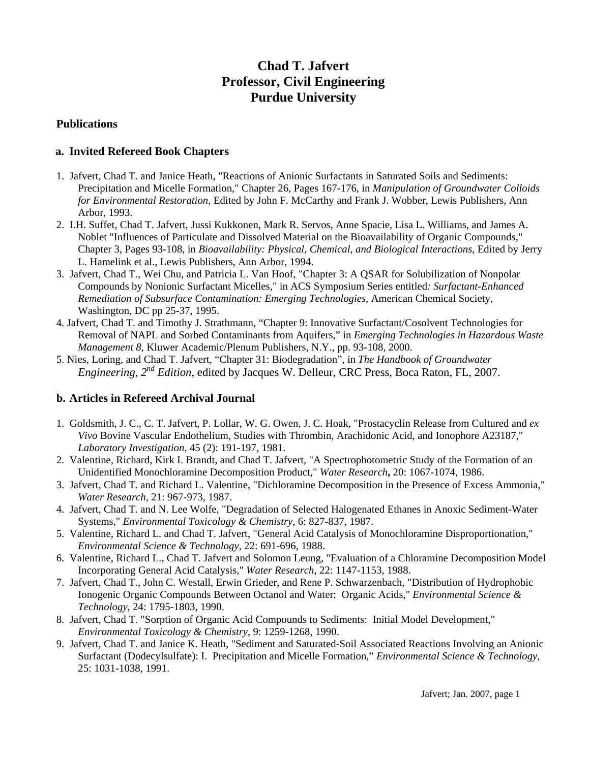# **Chad T. Jafvert Professor, Civil Engineering Purdue University**

#### **Publications**

## **a. Invited Refereed Book Chapters**

- 1. Jafvert, Chad T. and Janice Heath, "Reactions of Anionic Surfactants in Saturated Soils and Sediments: Precipitation and Micelle Formation," Chapter 26, Pages 167-176, in *Manipulation of Groundwater Colloids for Environmental Restoration,* Edited by John F. McCarthy and Frank J. Wobber, Lewis Publishers, Ann Arbor, 1993.
- 2. I.H. Suffet, Chad T. Jafvert, Jussi Kukkonen, Mark R. Servos, Anne Spacie, Lisa L. Williams, and James A. Noblet "Influences of Particulate and Dissolved Material on the Bioavailability of Organic Compounds," Chapter 3, Pages 93-108, in *Bioavailability: Physical, Chemical, and Biological Interactions*, Edited by Jerry L. Hamelink et al., Lewis Publishers, Ann Arbor, 1994.
- 3. Jafvert, Chad T., Wei Chu, and Patricia L. Van Hoof, "Chapter 3: A QSAR for Solubilization of Nonpolar Compounds by Nonionic Surfactant Micelles," in ACS Symposium Series entitled*: Surfactant-Enhanced Remediation of Subsurface Contamination: Emerging Technologies*, American Chemical Society, Washington, DC pp 25-37, 1995.
- 4. Jafvert, Chad T. and Timothy J. Strathmann, "Chapter 9: Innovative Surfactant/Cosolvent Technologies for Removal of NAPL and Sorbed Contaminants from Aquifers," in *Emerging Technologies in Hazardous Waste Management 8,* Kluwer Academic/Plenum Publishers, N.Y., pp. 93-108, 2000.
- 5. Nies, Loring, and Chad T. Jafvert, "Chapter 31: Biodegradation", in *The Handbook of Groundwater Engineering, 2nd Edition*, edited by Jacques W. Delleur, CRC Press, Boca Raton, FL, 2007.

## **b. Articles in Refereed Archival Journal**

- 1. Goldsmith, J. C., C. T. Jafvert, P. Lollar, W. G. Owen, J. C. Hoak, "Prostacyclin Release from Cultured and *ex Vivo* Bovine Vascular Endothelium, Studies with Thrombin, Arachidonic Acid, and Ionophore A23187," *Laboratory Investigation*, 45 (2): 191-197, 1981.
- 2. Valentine, Richard, Kirk I. Brandt, and Chad T. Jafvert, "A Spectrophotometric Study of the Formation of an Unidentified Monochloramine Decomposition Product," *Water Research***,** 20: 1067-1074, 1986.
- 3. Jafvert, Chad T. and Richard L. Valentine, "Dichloramine Decomposition in the Presence of Excess Ammonia," *Water Research*, 21: 967-973, 1987.
- 4. Jafvert, Chad T. and N. Lee Wolfe, "Degradation of Selected Halogenated Ethanes in Anoxic Sediment-Water Systems," *Environmental Toxicology & Chemistry*, 6: 827-837, 1987.
- 5. Valentine, Richard L. and Chad T. Jafvert, "General Acid Catalysis of Monochloramine Disproportionation," *Environmental Science & Technology*, 22: 691-696, 1988.
- 6. Valentine, Richard L., Chad T. Jafvert and Solomon Leung, "Evaluation of a Chloramine Decomposition Model Incorporating General Acid Catalysis," *Water Research*, 22: 1147-1153, 1988.
- 7. Jafvert, Chad T., John C. Westall, Erwin Grieder, and Rene P. Schwarzenbach, "Distribution of Hydrophobic Ionogenic Organic Compounds Between Octanol and Water: Organic Acids," *Environmental Science & Technology*, 24: 1795-1803, 1990.
- 8. Jafvert, Chad T. "Sorption of Organic Acid Compounds to Sediments: Initial Model Development," *Environmental Toxicology & Chemistry*, 9: 1259-1268, 1990.
- 9. Jafvert, Chad T. and Janice K. Heath, "Sediment and Saturated-Soil Associated Reactions Involving an Anionic Surfactant (Dodecylsulfate): I. Precipitation and Micelle Formation," *Environmental Science & Technology*, 25: 1031-1038, 1991.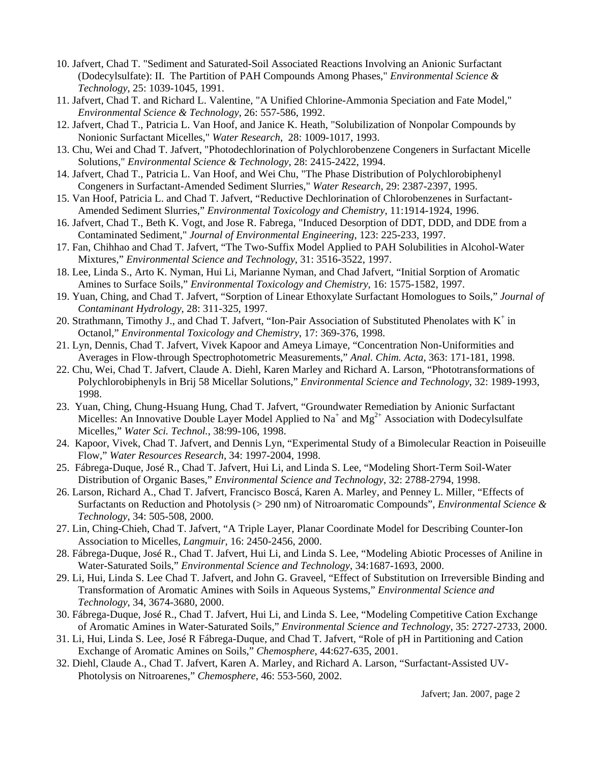- 10. Jafvert, Chad T. "Sediment and Saturated-Soil Associated Reactions Involving an Anionic Surfactant (Dodecylsulfate): II. The Partition of PAH Compounds Among Phases," *Environmental Science & Technology*, 25: 1039-1045, 1991.
- 11. Jafvert, Chad T. and Richard L. Valentine, "A Unified Chlorine-Ammonia Speciation and Fate Model," *Environmental Science & Technology*, 26: 557-586, 1992.
- 12. Jafvert, Chad T., Patricia L. Van Hoof, and Janice K. Heath, "Solubilization of Nonpolar Compounds by Nonionic Surfactant Micelles," *Water Research*, 28: 1009-1017, 1993.
- 13. Chu, Wei and Chad T. Jafvert, "Photodechlorination of Polychlorobenzene Congeners in Surfactant Micelle Solutions," *Environmental Science & Technology*, 28: 2415-2422, 1994.
- 14. Jafvert, Chad T., Patricia L. Van Hoof, and Wei Chu, "The Phase Distribution of Polychlorobiphenyl Congeners in Surfactant-Amended Sediment Slurries," *Water Research*, 29: 2387-2397, 1995.
- 15. Van Hoof, Patricia L. and Chad T. Jafvert, "Reductive Dechlorination of Chlorobenzenes in Surfactant-Amended Sediment Slurries," *Environmental Toxicology and Chemistry*, 11:1914-1924, 1996.
- 16. Jafvert, Chad T., Beth K. Vogt, and Jose R. Fabrega, "Induced Desorption of DDT, DDD, and DDE from a Contaminated Sediment," *Journal of Environmental Engineering*, 123: 225-233, 1997.
- 17. Fan, Chihhao and Chad T. Jafvert, "The Two-Suffix Model Applied to PAH Solubilities in Alcohol-Water Mixtures," *Environmental Science and Technology*, 31: 3516-3522, 1997.
- 18. Lee, Linda S., Arto K. Nyman, Hui Li, Marianne Nyman, and Chad Jafvert, "Initial Sorption of Aromatic Amines to Surface Soils," *Environmental Toxicology and Chemistry*, 16: 1575-1582, 1997.
- 19. Yuan, Ching, and Chad T. Jafvert, "Sorption of Linear Ethoxylate Surfactant Homologues to Soils," *Journal of Contaminant Hydrology*, 28: 311-325, 1997.
- 20. Strathmann, Timothy J., and Chad T. Jafvert, "Ion-Pair Association of Substituted Phenolates with K<sup>+</sup> in Octanol," *Environmental Toxicology and Chemistry*, 17: 369-376, 1998.
- 21. Lyn, Dennis, Chad T. Jafvert, Vivek Kapoor and Ameya Limaye, "Concentration Non-Uniformities and Averages in Flow-through Spectrophotometric Measurements," *Anal. Chim. Acta*, 363: 171-181, 1998.
- 22. Chu, Wei, Chad T. Jafvert, Claude A. Diehl, Karen Marley and Richard A. Larson, "Phototransformations of Polychlorobiphenyls in Brij 58 Micellar Solutions," *Environmental Science and Technology*, 32: 1989-1993, 1998.
- 23. Yuan, Ching, Chung-Hsuang Hung, Chad T. Jafvert, "Groundwater Remediation by Anionic Surfactant Micelles: An Innovative Double Layer Model Applied to Na<sup>+</sup> and Mg<sup>2+</sup> Association with Dodecylsulfate Micelles," *Water Sci. Technol.*, 38:99-106, 1998.
- 24. Kapoor, Vivek, Chad T. Jafvert, and Dennis Lyn, "Experimental Study of a Bimolecular Reaction in Poiseuille Flow," *Water Resources Research*, 34: 1997-2004, 1998.
- 25. Fábrega-Duque, José R., Chad T. Jafvert, Hui Li, and Linda S. Lee, "Modeling Short-Term Soil-Water Distribution of Organic Bases," *Environmental Science and Technology*, 32: 2788-2794, 1998.
- 26. Larson, Richard A., Chad T. Jafvert, Francisco Boscá, Karen A. Marley, and Penney L. Miller, "Effects of Surfactants on Reduction and Photolysis (> 290 nm) of Nitroaromatic Compounds", *Environmental Science & Technology,* 34: 505-508, 2000.
- 27. Lin, Ching-Chieh, Chad T. Jafvert, "A Triple Layer, Planar Coordinate Model for Describing Counter-Ion Association to Micelles, *Langmuir*, 16: 2450-2456, 2000.
- 28. Fábrega-Duque, José R., Chad T. Jafvert, Hui Li, and Linda S. Lee, "Modeling Abiotic Processes of Aniline in Water-Saturated Soils," *Environmental Science and Technology*, 34:1687-1693, 2000.
- 29. Li, Hui, Linda S. Lee Chad T. Jafvert, and John G. Graveel, "Effect of Substitution on Irreversible Binding and Transformation of Aromatic Amines with Soils in Aqueous Systems," *Environmental Science and Technology*, 34, 3674-3680, 2000.
- 30. Fábrega-Duque, José R., Chad T. Jafvert, Hui Li, and Linda S. Lee, "Modeling Competitive Cation Exchange of Aromatic Amines in Water-Saturated Soils," *Environmental Science and Technology*, 35: 2727-2733, 2000.
- 31. Li, Hui, Linda S. Lee, José R Fábrega-Duque, and Chad T. Jafvert, "Role of pH in Partitioning and Cation Exchange of Aromatic Amines on Soils," *Chemosphere*, 44:627-635, 2001.
- 32. Diehl, Claude A., Chad T. Jafvert, Karen A. Marley, and Richard A. Larson, "Surfactant-Assisted UV-Photolysis on Nitroarenes," *Chemosphere*, 46: 553-560, 2002.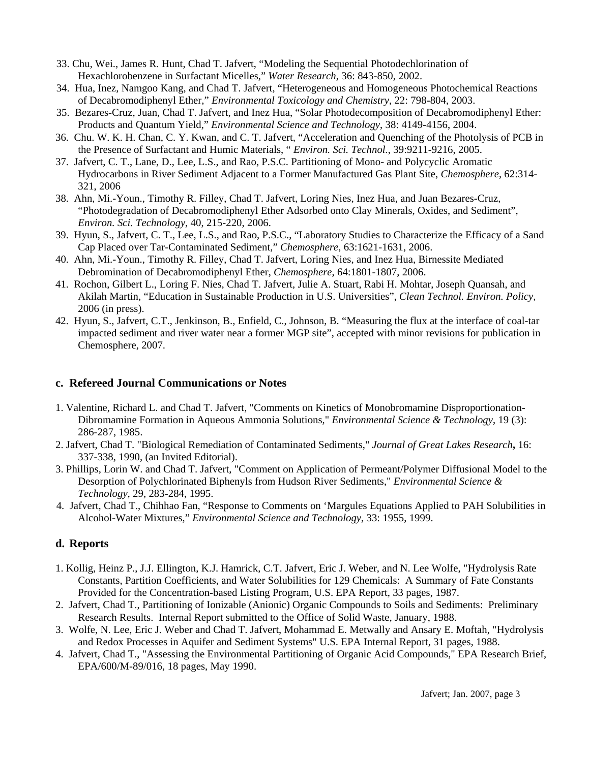- 33. Chu, Wei., James R. Hunt, Chad T. Jafvert, "Modeling the Sequential Photodechlorination of Hexachlorobenzene in Surfactant Micelles," *Water Research*, 36: 843-850, 2002.
- 34. Hua, Inez, Namgoo Kang, and Chad T. Jafvert, "Heterogeneous and Homogeneous Photochemical Reactions of Decabromodiphenyl Ether," *Environmental Toxicology and Chemistry*, 22: 798-804, 2003.
- 35. Bezares-Cruz, Juan, Chad T. Jafvert, and Inez Hua, "Solar Photodecomposition of Decabromodiphenyl Ether: Products and Quantum Yield," *Environmental Science and Technology*, 38: 4149-4156, 2004.
- 36. Chu. W. K. H. Chan, C. Y. Kwan, and C. T. Jafvert, "Acceleration and Quenching of the Photolysis of PCB in the Presence of Surfactant and Humic Materials, " *Environ. Sci. Technol.*, 39:9211-9216, 2005.
- 37. Jafvert, C. T., Lane, D., Lee, L.S., and Rao, P.S.C. Partitioning of Mono- and Polycyclic Aromatic Hydrocarbons in River Sediment Adjacent to a Former Manufactured Gas Plant Site, *Chemosphere*, 62:314- 321, 2006
- 38. Ahn, Mi.-Youn., Timothy R. Filley, Chad T. Jafvert, Loring Nies, Inez Hua, and Juan Bezares-Cruz, "Photodegradation of Decabromodiphenyl Ether Adsorbed onto Clay Minerals, Oxides, and Sediment", *Environ. Sci. Technology*, 40, 215-220, 2006.
- 39. Hyun, S., Jafvert, C. T., Lee, L.S., and Rao, P.S.C., "Laboratory Studies to Characterize the Efficacy of a Sand Cap Placed over Tar-Contaminated Sediment," *Chemosphere*, 63:1621-1631, 2006.
- 40. Ahn, Mi.-Youn., Timothy R. Filley, Chad T. Jafvert, Loring Nies, and Inez Hua, Birnessite Mediated Debromination of Decabromodiphenyl Ether, *Chemosphere*, 64:1801-1807, 2006.
- 41. Rochon, Gilbert L., Loring F. Nies, Chad T. Jafvert, Julie A. Stuart, Rabi H. Mohtar, Joseph Quansah, and Akilah Martin, "Education in Sustainable Production in U.S. Universities", *Clean Technol. Environ. Policy,* 2006 (in press).
- 42. Hyun, S., Jafvert, C.T., Jenkinson, B., Enfield, C., Johnson, B. "Measuring the flux at the interface of coal-tar impacted sediment and river water near a former MGP site", accepted with minor revisions for publication in Chemosphere, 2007.

## **c. Refereed Journal Communications or Notes**

- 1. Valentine, Richard L. and Chad T. Jafvert, "Comments on Kinetics of Monobromamine Disproportionation-Dibromamine Formation in Aqueous Ammonia Solutions," *Environmental Science & Technology*, 19 (3): 286-287, 1985.
- 2. Jafvert, Chad T. "Biological Remediation of Contaminated Sediments," *Journal of Great Lakes Research***,** 16: 337-338, 1990, (an Invited Editorial).
- 3. Phillips, Lorin W. and Chad T. Jafvert, "Comment on Application of Permeant/Polymer Diffusional Model to the Desorption of Polychlorinated Biphenyls from Hudson River Sediments," *Environmental Science & Technology*, 29, 283-284, 1995.
- 4. Jafvert, Chad T., Chihhao Fan, "Response to Comments on 'Margules Equations Applied to PAH Solubilities in Alcohol-Water Mixtures," *Environmental Science and Technology*, 33: 1955, 1999.

## **d. Reports**

- 1. Kollig, Heinz P., J.J. Ellington, K.J. Hamrick, C.T. Jafvert, Eric J. Weber, and N. Lee Wolfe, "Hydrolysis Rate Constants, Partition Coefficients, and Water Solubilities for 129 Chemicals: A Summary of Fate Constants Provided for the Concentration-based Listing Program, U.S. EPA Report, 33 pages, 1987.
- 2. Jafvert, Chad T., Partitioning of Ionizable (Anionic) Organic Compounds to Soils and Sediments: Preliminary Research Results. Internal Report submitted to the Office of Solid Waste, January, 1988.
- 3. Wolfe, N. Lee, Eric J. Weber and Chad T. Jafvert, Mohammad E. Metwally and Ansary E. Moftah, "Hydrolysis and Redox Processes in Aquifer and Sediment Systems" U.S. EPA Internal Report, 31 pages, 1988.
- 4. Jafvert, Chad T., "Assessing the Environmental Partitioning of Organic Acid Compounds," EPA Research Brief, EPA/600/M-89/016, 18 pages, May 1990.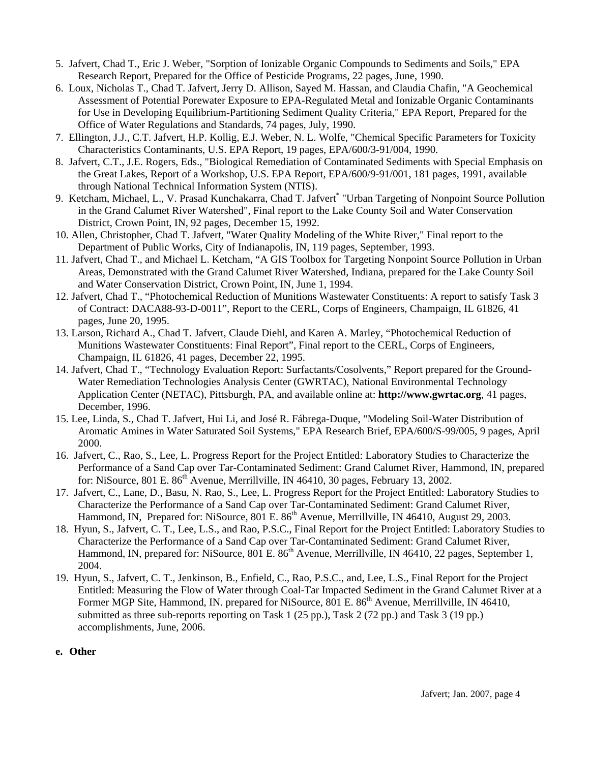- 5. Jafvert, Chad T., Eric J. Weber, "Sorption of Ionizable Organic Compounds to Sediments and Soils," EPA Research Report, Prepared for the Office of Pesticide Programs, 22 pages, June, 1990.
- 6. Loux, Nicholas T., Chad T. Jafvert, Jerry D. Allison, Sayed M. Hassan, and Claudia Chafin, "A Geochemical Assessment of Potential Porewater Exposure to EPA-Regulated Metal and Ionizable Organic Contaminants for Use in Developing Equilibrium-Partitioning Sediment Quality Criteria," EPA Report, Prepared for the Office of Water Regulations and Standards, 74 pages, July, 1990.
- 7. Ellington, J.J., C.T. Jafvert, H.P. Kollig, E.J. Weber, N. L. Wolfe, "Chemical Specific Parameters for Toxicity Characteristics Contaminants, U.S. EPA Report, 19 pages, EPA/600/3-91/004, 1990.
- 8. Jafvert, C.T., J.E. Rogers, Eds., "Biological Remediation of Contaminated Sediments with Special Emphasis on the Great Lakes, Report of a Workshop, U.S. EPA Report, EPA/600/9-91/001, 181 pages, 1991, available through National Technical Information System (NTIS).
- 9. Ketcham, Michael, L., V. Prasad Kunchakarra, Chad T. Jafvert<sup>\*</sup> "Urban Targeting of Nonpoint Source Pollution in the Grand Calumet River Watershed", Final report to the Lake County Soil and Water Conservation District, Crown Point, IN, 92 pages, December 15, 1992.
- 10. Allen, Christopher, Chad T. Jafvert, "Water Quality Modeling of the White River," Final report to the Department of Public Works, City of Indianapolis, IN, 119 pages, September, 1993.
- 11. Jafvert, Chad T., and Michael L. Ketcham, "A GIS Toolbox for Targeting Nonpoint Source Pollution in Urban Areas, Demonstrated with the Grand Calumet River Watershed, Indiana, prepared for the Lake County Soil and Water Conservation District, Crown Point, IN, June 1, 1994.
- 12. Jafvert, Chad T., "Photochemical Reduction of Munitions Wastewater Constituents: A report to satisfy Task 3 of Contract: DACA88-93-D-0011", Report to the CERL, Corps of Engineers, Champaign, IL 61826, 41 pages, June 20, 1995.
- 13. Larson, Richard A., Chad T. Jafvert, Claude Diehl, and Karen A. Marley, "Photochemical Reduction of Munitions Wastewater Constituents: Final Report", Final report to the CERL, Corps of Engineers, Champaign, IL 61826, 41 pages, December 22, 1995.
- 14. Jafvert, Chad T., "Technology Evaluation Report: Surfactants/Cosolvents," Report prepared for the Ground-Water Remediation Technologies Analysis Center (GWRTAC), National Environmental Technology Application Center (NETAC), Pittsburgh, PA, and available online at: **http://www.gwrtac.org**, 41 pages, December, 1996.
- 15. Lee, Linda, S., Chad T. Jafvert, Hui Li, and José R. Fábrega-Duque, "Modeling Soil-Water Distribution of Aromatic Amines in Water Saturated Soil Systems," EPA Research Brief, EPA/600/S-99/005, 9 pages, April 2000.
- 16. Jafvert, C., Rao, S., Lee, L. Progress Report for the Project Entitled: Laboratory Studies to Characterize the Performance of a Sand Cap over Tar-Contaminated Sediment: Grand Calumet River, Hammond, IN, prepared for: NiSource,  $801 \text{ E}$ .  $86^{\text{th}}$  Avenue, Merrillville, IN 46410, 30 pages, February 13, 2002.
- 17. Jafvert, C., Lane, D., Basu, N. Rao, S., Lee, L. Progress Report for the Project Entitled: Laboratory Studies to Characterize the Performance of a Sand Cap over Tar-Contaminated Sediment: Grand Calumet River, Hammond, IN, Prepared for: NiSource, 801 E. 86<sup>th</sup> Avenue, Merrillville, IN 46410, August 29, 2003.
- 18. Hyun, S., Jafvert, C. T., Lee, L.S., and Rao, P.S.C., Final Report for the Project Entitled: Laboratory Studies to Characterize the Performance of a Sand Cap over Tar-Contaminated Sediment: Grand Calumet River, Hammond, IN, prepared for: NiSource,  $801 \text{ E}$ .  $86^{\text{th}}$  Avenue, Merrillville, IN 46410, 22 pages, September 1, 2004.
- 19. Hyun, S., Jafvert, C. T., Jenkinson, B., Enfield, C., Rao, P.S.C., and, Lee, L.S., Final Report for the Project Entitled: Measuring the Flow of Water through Coal-Tar Impacted Sediment in the Grand Calumet River at a Former MGP Site, Hammond, IN. prepared for NiSource, 801 E. 86<sup>th</sup> Avenue, Merrillville, IN 46410, submitted as three sub-reports reporting on Task 1 (25 pp.), Task 2 (72 pp.) and Task 3 (19 pp.) accomplishments, June, 2006.
- **e. Other**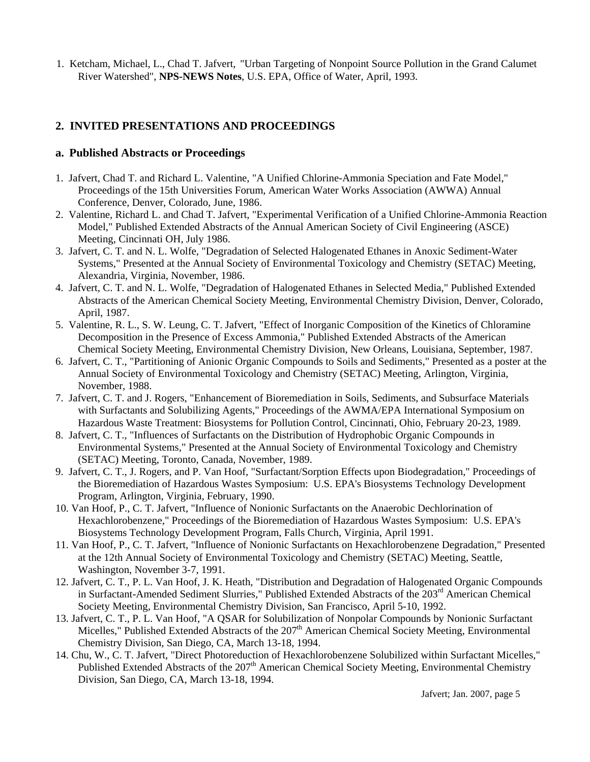1. Ketcham, Michael, L., Chad T. Jafvert, "Urban Targeting of Nonpoint Source Pollution in the Grand Calumet River Watershed", **NPS-NEWS Notes**, U.S. EPA, Office of Water, April, 1993.

## **2. INVITED PRESENTATIONS AND PROCEEDINGS**

#### **a. Published Abstracts or Proceedings**

- 1. Jafvert, Chad T. and Richard L. Valentine, "A Unified Chlorine-Ammonia Speciation and Fate Model," Proceedings of the 15th Universities Forum, American Water Works Association (AWWA) Annual Conference, Denver, Colorado, June, 1986.
- 2. Valentine, Richard L. and Chad T. Jafvert, "Experimental Verification of a Unified Chlorine-Ammonia Reaction Model," Published Extended Abstracts of the Annual American Society of Civil Engineering (ASCE) Meeting, Cincinnati OH, July 1986.
- 3. Jafvert, C. T. and N. L. Wolfe, "Degradation of Selected Halogenated Ethanes in Anoxic Sediment-Water Systems," Presented at the Annual Society of Environmental Toxicology and Chemistry (SETAC) Meeting, Alexandria, Virginia, November, 1986.
- 4. Jafvert, C. T. and N. L. Wolfe, "Degradation of Halogenated Ethanes in Selected Media," Published Extended Abstracts of the American Chemical Society Meeting, Environmental Chemistry Division, Denver, Colorado, April, 1987.
- 5. Valentine, R. L., S. W. Leung, C. T. Jafvert, "Effect of Inorganic Composition of the Kinetics of Chloramine Decomposition in the Presence of Excess Ammonia," Published Extended Abstracts of the American Chemical Society Meeting, Environmental Chemistry Division, New Orleans, Louisiana, September, 1987.
- 6. Jafvert, C. T., "Partitioning of Anionic Organic Compounds to Soils and Sediments," Presented as a poster at the Annual Society of Environmental Toxicology and Chemistry (SETAC) Meeting, Arlington, Virginia, November, 1988.
- 7. Jafvert, C. T. and J. Rogers, "Enhancement of Bioremediation in Soils, Sediments, and Subsurface Materials with Surfactants and Solubilizing Agents," Proceedings of the AWMA/EPA International Symposium on Hazardous Waste Treatment: Biosystems for Pollution Control, Cincinnati, Ohio, February 20-23, 1989.
- 8. Jafvert, C. T., "Influences of Surfactants on the Distribution of Hydrophobic Organic Compounds in Environmental Systems," Presented at the Annual Society of Environmental Toxicology and Chemistry (SETAC) Meeting, Toronto, Canada, November, 1989.
- 9. Jafvert, C. T., J. Rogers, and P. Van Hoof, "Surfactant/Sorption Effects upon Biodegradation," Proceedings of the Bioremediation of Hazardous Wastes Symposium: U.S. EPA's Biosystems Technology Development Program, Arlington, Virginia, February, 1990.
- 10. Van Hoof, P., C. T. Jafvert, "Influence of Nonionic Surfactants on the Anaerobic Dechlorination of Hexachlorobenzene," Proceedings of the Bioremediation of Hazardous Wastes Symposium: U.S. EPA's Biosystems Technology Development Program, Falls Church, Virginia, April 1991.
- 11. Van Hoof, P., C. T. Jafvert, "Influence of Nonionic Surfactants on Hexachlorobenzene Degradation," Presented at the 12th Annual Society of Environmental Toxicology and Chemistry (SETAC) Meeting, Seattle, Washington, November 3-7, 1991.
- 12. Jafvert, C. T., P. L. Van Hoof, J. K. Heath, "Distribution and Degradation of Halogenated Organic Compounds in Surfactant-Amended Sediment Slurries," Published Extended Abstracts of the 203<sup>rd</sup> American Chemical Society Meeting, Environmental Chemistry Division, San Francisco, April 5-10, 1992.
- 13. Jafvert, C. T., P. L. Van Hoof, "A QSAR for Solubilization of Nonpolar Compounds by Nonionic Surfactant Micelles," Published Extended Abstracts of the 207<sup>th</sup> American Chemical Society Meeting, Environmental Chemistry Division, San Diego, CA, March 13-18, 1994.
- 14. Chu, W., C. T. Jafvert, "Direct Photoreduction of Hexachlorobenzene Solubilized within Surfactant Micelles," Published Extended Abstracts of the 207<sup>th</sup> American Chemical Society Meeting, Environmental Chemistry Division, San Diego, CA, March 13-18, 1994.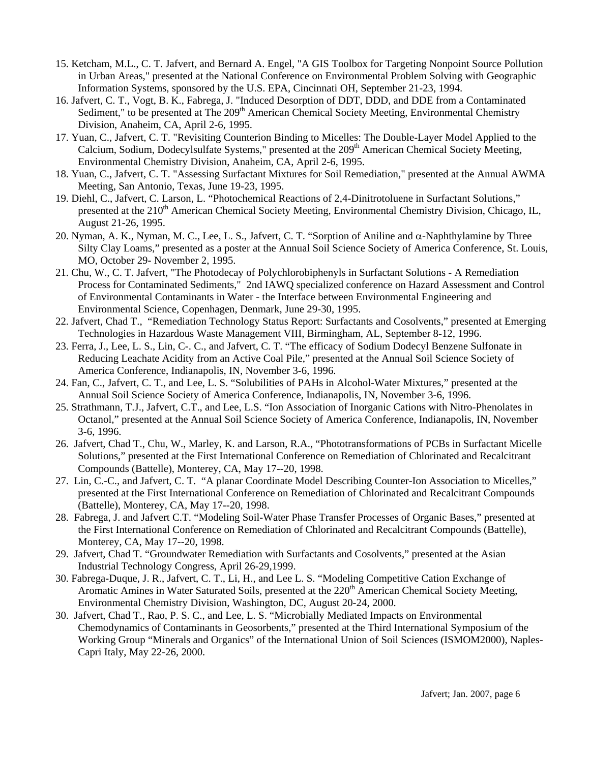- 15. Ketcham, M.L., C. T. Jafvert, and Bernard A. Engel, "A GIS Toolbox for Targeting Nonpoint Source Pollution in Urban Areas," presented at the National Conference on Environmental Problem Solving with Geographic Information Systems, sponsored by the U.S. EPA, Cincinnati OH, September 21-23, 1994.
- 16. Jafvert, C. T., Vogt, B. K., Fabrega, J. "Induced Desorption of DDT, DDD, and DDE from a Contaminated Sediment," to be presented at The 209<sup>th</sup> American Chemical Society Meeting, Environmental Chemistry Division, Anaheim, CA, April 2-6, 1995.
- 17. Yuan, C., Jafvert, C. T. "Revisiting Counterion Binding to Micelles: The Double-Layer Model Applied to the Calcium, Sodium, Dodecylsulfate Systems," presented at the 209<sup>th</sup> American Chemical Society Meeting, Environmental Chemistry Division, Anaheim, CA, April 2-6, 1995.
- 18. Yuan, C., Jafvert, C. T. "Assessing Surfactant Mixtures for Soil Remediation," presented at the Annual AWMA Meeting, San Antonio, Texas, June 19-23, 1995.
- 19. Diehl, C., Jafvert, C. Larson, L. "Photochemical Reactions of 2,4-Dinitrotoluene in Surfactant Solutions," presented at the 210<sup>th</sup> American Chemical Society Meeting, Environmental Chemistry Division, Chicago, IL, August 21-26, 1995.
- 20. Nyman, A. K., Nyman, M. C., Lee, L. S., Jafvert, C. T. "Sorption of Aniline and  $\alpha$ -Naphthylamine by Three Silty Clay Loams," presented as a poster at the Annual Soil Science Society of America Conference, St. Louis, MO, October 29- November 2, 1995.
- 21. Chu, W., C. T. Jafvert, "The Photodecay of Polychlorobiphenyls in Surfactant Solutions A Remediation Process for Contaminated Sediments," 2nd IAWQ specialized conference on Hazard Assessment and Control of Environmental Contaminants in Water - the Interface between Environmental Engineering and Environmental Science, Copenhagen, Denmark, June 29-30, 1995.
- 22. Jafvert, Chad T., "Remediation Technology Status Report: Surfactants and Cosolvents," presented at Emerging Technologies in Hazardous Waste Management VIII, Birmingham, AL, September 8-12, 1996.
- 23. Ferra, J., Lee, L. S., Lin, C-. C., and Jafvert, C. T. "The efficacy of Sodium Dodecyl Benzene Sulfonate in Reducing Leachate Acidity from an Active Coal Pile," presented at the Annual Soil Science Society of America Conference, Indianapolis, IN, November 3-6, 1996.
- 24. Fan, C., Jafvert, C. T., and Lee, L. S. "Solubilities of PAHs in Alcohol-Water Mixtures," presented at the Annual Soil Science Society of America Conference, Indianapolis, IN, November 3-6, 1996.
- 25. Strathmann, T.J., Jafvert, C.T., and Lee, L.S. "Ion Association of Inorganic Cations with Nitro-Phenolates in Octanol," presented at the Annual Soil Science Society of America Conference, Indianapolis, IN, November 3-6, 1996.
- 26. Jafvert, Chad T., Chu, W., Marley, K. and Larson, R.A., "Phototransformations of PCBs in Surfactant Micelle Solutions," presented at the First International Conference on Remediation of Chlorinated and Recalcitrant Compounds (Battelle), Monterey, CA, May 17--20, 1998.
- 27. Lin, C.-C., and Jafvert, C. T. "A planar Coordinate Model Describing Counter-Ion Association to Micelles," presented at the First International Conference on Remediation of Chlorinated and Recalcitrant Compounds (Battelle), Monterey, CA, May 17--20, 1998.
- 28. Fabrega, J. and Jafvert C.T. "Modeling Soil-Water Phase Transfer Processes of Organic Bases," presented at the First International Conference on Remediation of Chlorinated and Recalcitrant Compounds (Battelle), Monterey, CA, May 17--20, 1998.
- 29. Jafvert, Chad T. "Groundwater Remediation with Surfactants and Cosolvents," presented at the Asian Industrial Technology Congress, April 26-29,1999.
- 30. Fabrega-Duque, J. R., Jafvert, C. T., Li, H., and Lee L. S. "Modeling Competitive Cation Exchange of Aromatic Amines in Water Saturated Soils, presented at the 220<sup>th</sup> American Chemical Society Meeting, Environmental Chemistry Division, Washington, DC, August 20-24, 2000.
- 30. Jafvert, Chad T., Rao, P. S. C., and Lee, L. S. "Microbially Mediated Impacts on Environmental Chemodynamics of Contaminants in Geosorbents," presented at the Third International Symposium of the Working Group "Minerals and Organics" of the International Union of Soil Sciences (ISMOM2000), Naples-Capri Italy, May 22-26, 2000.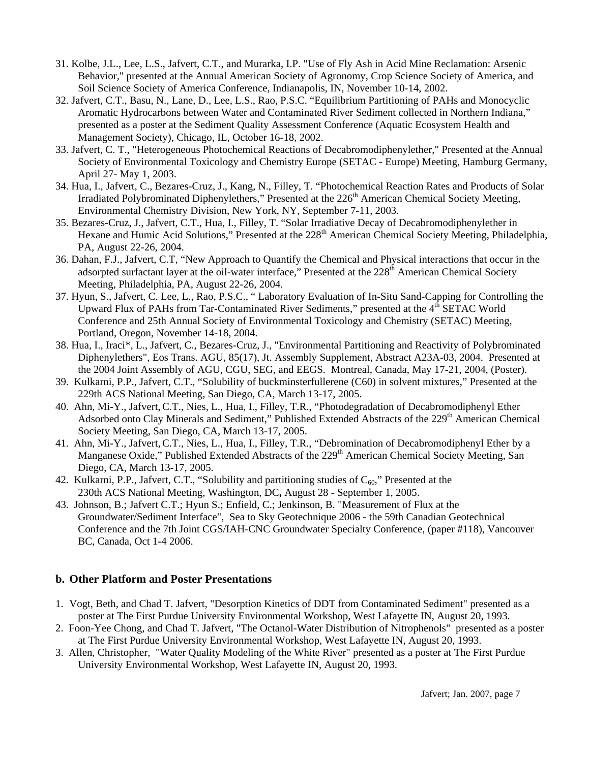- 31. Kolbe, J.L., Lee, L.S., Jafvert, C.T., and Murarka, I.P. "Use of Fly Ash in Acid Mine Reclamation: Arsenic Behavior," presented at the Annual American Society of Agronomy, Crop Science Society of America, and Soil Science Society of America Conference, Indianapolis, IN, November 10-14, 2002.
- 32. Jafvert, C.T., Basu, N., Lane, D., Lee, L.S., Rao, P.S.C. "Equilibrium Partitioning of PAHs and Monocyclic Aromatic Hydrocarbons between Water and Contaminated River Sediment collected in Northern Indiana," presented as a poster at the Sediment Quality Assessment Conference (Aquatic Ecosystem Health and Management Society), Chicago, IL, October 16-18, 2002.
- 33. Jafvert, C. T., "Heterogeneous Photochemical Reactions of Decabromodiphenylether," Presented at the Annual Society of Environmental Toxicology and Chemistry Europe (SETAC - Europe) Meeting, Hamburg Germany, April 27- May 1, 2003.
- 34. Hua, I., Jafvert, C., Bezares-Cruz, J., Kang, N., Filley, T. "Photochemical Reaction Rates and Products of Solar Irradiated Polybrominated Diphenylethers," Presented at the 226<sup>th</sup> American Chemical Society Meeting, Environmental Chemistry Division, New York, NY, September 7-11, 2003.
- 35. Bezares-Cruz, J., Jafvert, C.T., Hua, I., Filley, T. "Solar Irradiative Decay of Decabromodiphenylether in Hexane and Humic Acid Solutions," Presented at the 228<sup>th</sup> American Chemical Society Meeting, Philadelphia, PA, August 22-26, 2004.
- 36. Dahan, F.J., Jafvert, C.T, "New Approach to Quantify the Chemical and Physical interactions that occur in the adsorpted surfactant layer at the oil-water interface," Presented at the 228<sup>th</sup> American Chemical Society Meeting, Philadelphia, PA, August 22-26, 2004.
- 37. Hyun, S., Jafvert, C. Lee, L., Rao, P.S.C., " Laboratory Evaluation of In-Situ Sand-Capping for Controlling the Upward Flux of PAHs from Tar-Contaminated River Sediments," presented at the  $4<sup>th</sup>$  SETAC World Conference and 25th Annual Society of Environmental Toxicology and Chemistry (SETAC) Meeting, Portland, Oregon, November 14-18, 2004.
- 38. Hua, I., Iraci\*, L., Jafvert, C., Bezares-Cruz, J., "Environmental Partitioning and Reactivity of Polybrominated Diphenylethers", Eos Trans. AGU, 85(17), Jt. Assembly Supplement, Abstract A23A-03, 2004. Presented at the 2004 Joint Assembly of AGU, CGU, SEG, and EEGS. Montreal, Canada, May 17-21, 2004, (Poster).
- 39. Kulkarni, P.P., Jafvert, C.T., "Solubility of buckminsterfullerene (C60) in solvent mixtures," Presented at the 229th ACS National Meeting, San Diego, CA, March 13-17, 2005.
- 40. Ahn, Mi-Y., Jafvert,C.T., Nies, L., Hua, I., Filley, T.R., "Photodegradation of Decabromodiphenyl Ether Adsorbed onto Clay Minerals and Sediment," Published Extended Abstracts of the 229<sup>th</sup> American Chemical Society Meeting, San Diego, CA, March 13-17, 2005.
- 41. Ahn, Mi-Y., Jafvert,C.T., Nies, L., Hua, I., Filley, T.R., "Debromination of Decabromodiphenyl Ether by a Manganese Oxide," Published Extended Abstracts of the 229<sup>th</sup> American Chemical Society Meeting, San Diego, CA, March 13-17, 2005.
- 42. Kulkarni, P.P., Jafvert, C.T., "Solubility and partitioning studies of  $C_{60}$ ," Presented at the 230th ACS National Meeting, Washington, DC**,** August 28 - September 1, 2005.
- 43. Johnson, B.; Jafvert C.T.; Hyun S.; Enfield, C.; Jenkinson, B. "Measurement of Flux at the Groundwater/Sediment Interface", Sea to Sky Geotechnique 2006 - the 59th Canadian Geotechnical Conference and the 7th Joint CGS/IAH-CNC Groundwater Specialty Conference, (paper #118), Vancouver BC, Canada, Oct 1-4 2006.

## **b. Other Platform and Poster Presentations**

- 1. Vogt, Beth, and Chad T. Jafvert, "Desorption Kinetics of DDT from Contaminated Sediment" presented as a poster at The First Purdue University Environmental Workshop, West Lafayette IN, August 20, 1993.
- 2. Foon-Yee Chong, and Chad T. Jafvert, "The Octanol-Water Distribution of Nitrophenols" presented as a poster at The First Purdue University Environmental Workshop, West Lafayette IN, August 20, 1993.
- 3. Allen, Christopher, "Water Quality Modeling of the White River" presented as a poster at The First Purdue University Environmental Workshop, West Lafayette IN, August 20, 1993.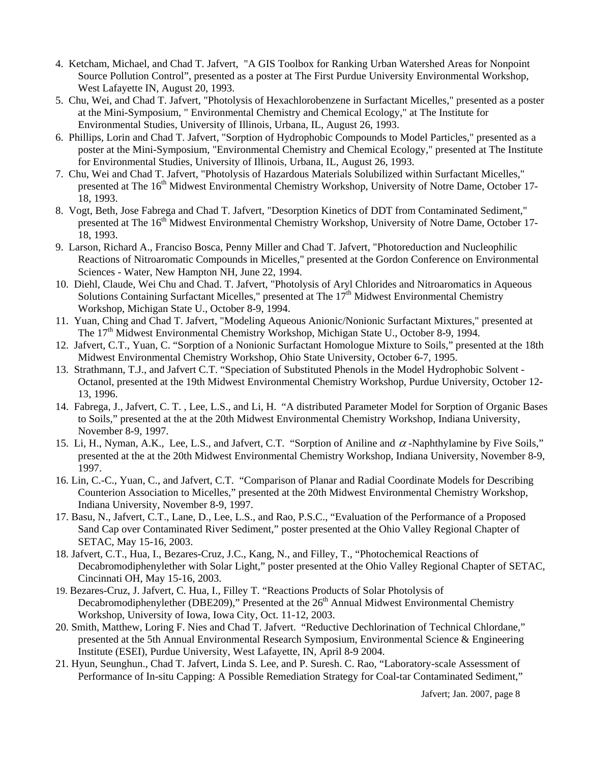- 4. Ketcham, Michael, and Chad T. Jafvert, "A GIS Toolbox for Ranking Urban Watershed Areas for Nonpoint Source Pollution Control", presented as a poster at The First Purdue University Environmental Workshop, West Lafayette IN, August 20, 1993.
- 5. Chu, Wei, and Chad T. Jafvert, "Photolysis of Hexachlorobenzene in Surfactant Micelles," presented as a poster at the Mini-Symposium, " Environmental Chemistry and Chemical Ecology," at The Institute for Environmental Studies, University of Illinois, Urbana, IL, August 26, 1993.
- 6. Phillips, Lorin and Chad T. Jafvert, "Sorption of Hydrophobic Compounds to Model Particles," presented as a poster at the Mini-Symposium, "Environmental Chemistry and Chemical Ecology," presented at The Institute for Environmental Studies, University of Illinois, Urbana, IL, August 26, 1993.
- 7. Chu, Wei and Chad T. Jafvert, "Photolysis of Hazardous Materials Solubilized within Surfactant Micelles," presented at The 16<sup>th</sup> Midwest Environmental Chemistry Workshop, University of Notre Dame, October 17-18, 1993.
- 8. Vogt, Beth, Jose Fabrega and Chad T. Jafvert, "Desorption Kinetics of DDT from Contaminated Sediment," presented at The 16<sup>th</sup> Midwest Environmental Chemistry Workshop, University of Notre Dame, October 17-18, 1993.
- 9. Larson, Richard A., Franciso Bosca, Penny Miller and Chad T. Jafvert, "Photoreduction and Nucleophilic Reactions of Nitroaromatic Compounds in Micelles," presented at the Gordon Conference on Environmental Sciences - Water, New Hampton NH, June 22, 1994.
- 10. Diehl, Claude, Wei Chu and Chad. T. Jafvert, "Photolysis of Aryl Chlorides and Nitroaromatics in Aqueous Solutions Containing Surfactant Micelles," presented at The 17<sup>th</sup> Midwest Environmental Chemistry Workshop, Michigan State U., October 8-9, 1994.
- 11. Yuan, Ching and Chad T. Jafvert, "Modeling Aqueous Anionic/Nonionic Surfactant Mixtures," presented at The 17<sup>th</sup> Midwest Environmental Chemistry Workshop, Michigan State U., October 8-9, 1994.
- 12. Jafvert, C.T., Yuan, C. "Sorption of a Nonionic Surfactant Homologue Mixture to Soils," presented at the 18th Midwest Environmental Chemistry Workshop, Ohio State University, October 6-7, 1995.
- 13. Strathmann, T.J., and Jafvert C.T. "Speciation of Substituted Phenols in the Model Hydrophobic Solvent Octanol, presented at the 19th Midwest Environmental Chemistry Workshop, Purdue University, October 12- 13, 1996.
- 14. Fabrega, J., Jafvert, C. T. , Lee, L.S., and Li, H. "A distributed Parameter Model for Sorption of Organic Bases to Soils," presented at the at the 20th Midwest Environmental Chemistry Workshop, Indiana University, November 8-9, 1997.
- 15. Li, H., Nyman, A.K., Lee, L.S., and Jafvert, C.T. "Sorption of Aniline and  $\alpha$ -Naphthylamine by Five Soils," presented at the at the 20th Midwest Environmental Chemistry Workshop, Indiana University, November 8-9, 1997.
- 16. Lin, C.-C., Yuan, C., and Jafvert, C.T. "Comparison of Planar and Radial Coordinate Models for Describing Counterion Association to Micelles," presented at the 20th Midwest Environmental Chemistry Workshop, Indiana University, November 8-9, 1997.
- 17. Basu, N., Jafvert, C.T., Lane, D., Lee, L.S., and Rao, P.S.C., "Evaluation of the Performance of a Proposed Sand Cap over Contaminated River Sediment," poster presented at the Ohio Valley Regional Chapter of SETAC, May 15-16, 2003.
- 18. Jafvert, C.T., Hua, I., Bezares-Cruz, J.C., Kang, N., and Filley, T., "Photochemical Reactions of Decabromodiphenylether with Solar Light," poster presented at the Ohio Valley Regional Chapter of SETAC, Cincinnati OH, May 15-16, 2003.
- 19. Bezares-Cruz, J. Jafvert, C. Hua, I., Filley T. "Reactions Products of Solar Photolysis of Decabromodiphenylether (DBE209)," Presented at the  $26<sup>th</sup>$  Annual Midwest Environmental Chemistry Workshop, University of Iowa, Iowa City, Oct. 11-12, 2003.
- 20. Smith, Matthew, Loring F. Nies and Chad T. Jafvert. "Reductive Dechlorination of Technical Chlordane," presented at the 5th Annual Environmental Research Symposium, Environmental Science & Engineering Institute (ESEI), Purdue University, West Lafayette, IN, April 8-9 2004.
- 21. Hyun, Seunghun., Chad T. Jafvert, Linda S. Lee, and P. Suresh. C. Rao, "Laboratory-scale Assessment of Performance of In-situ Capping: A Possible Remediation Strategy for Coal-tar Contaminated Sediment,"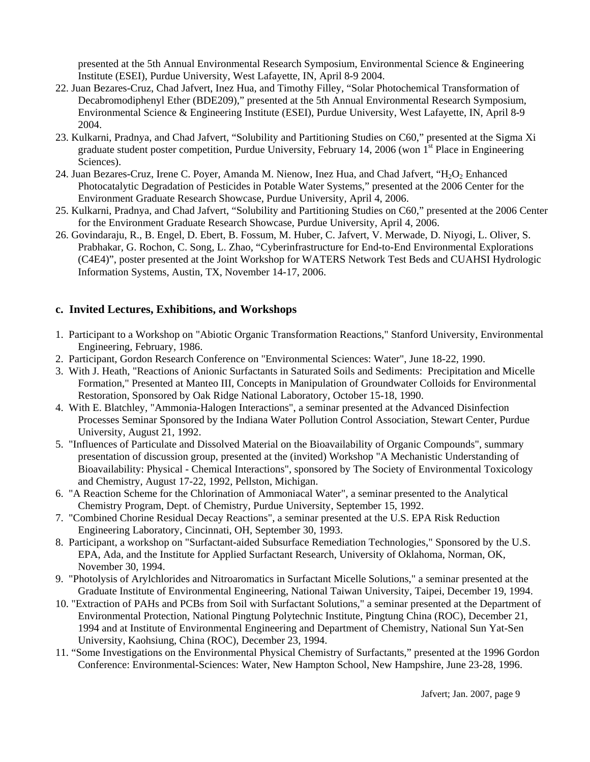presented at the 5th Annual Environmental Research Symposium, Environmental Science & Engineering Institute (ESEI), Purdue University, West Lafayette, IN, April 8-9 2004.

- 22. Juan Bezares-Cruz, Chad Jafvert, Inez Hua, and Timothy Filley, "Solar Photochemical Transformation of Decabromodiphenyl Ether (BDE209)," presented at the 5th Annual Environmental Research Symposium, Environmental Science & Engineering Institute (ESEI), Purdue University, West Lafayette, IN, April 8-9 2004.
- 23. Kulkarni, Pradnya, and Chad Jafvert, "Solubility and Partitioning Studies on C60," presented at the Sigma Xi graduate student poster competition, Purdue University, February 14, 2006 (won  $1<sup>st</sup>$  Place in Engineering Sciences).
- 24. Juan Bezares-Cruz, Irene C. Poyer, Amanda M. Nienow, Inez Hua, and Chad Jafvert, " $H_2O_2$  Enhanced Photocatalytic Degradation of Pesticides in Potable Water Systems," presented at the 2006 Center for the Environment Graduate Research Showcase, Purdue University, April 4, 2006.
- 25. Kulkarni, Pradnya, and Chad Jafvert, "Solubility and Partitioning Studies on C60," presented at the 2006 Center for the Environment Graduate Research Showcase, Purdue University, April 4, 2006.
- 26. Govindaraju, R., B. Engel, D. Ebert, B. Fossum, M. Huber, C. Jafvert, V. Merwade, D. Niyogi, L. Oliver, S. Prabhakar, G. Rochon, C. Song, L. Zhao, "Cyberinfrastructure for End-to-End Environmental Explorations (C4E4)", poster presented at the Joint Workshop for WATERS Network Test Beds and CUAHSI Hydrologic Information Systems, Austin, TX, November 14-17, 2006.

#### **c. Invited Lectures, Exhibitions, and Workshops**

- 1. Participant to a Workshop on "Abiotic Organic Transformation Reactions," Stanford University, Environmental Engineering, February, 1986.
- 2. Participant, Gordon Research Conference on "Environmental Sciences: Water", June 18-22, 1990.
- 3. With J. Heath, "Reactions of Anionic Surfactants in Saturated Soils and Sediments: Precipitation and Micelle Formation," Presented at Manteo III, Concepts in Manipulation of Groundwater Colloids for Environmental Restoration, Sponsored by Oak Ridge National Laboratory, October 15-18, 1990.
- 4. With E. Blatchley, "Ammonia-Halogen Interactions", a seminar presented at the Advanced Disinfection Processes Seminar Sponsored by the Indiana Water Pollution Control Association, Stewart Center, Purdue University, August 21, 1992.
- 5. "Influences of Particulate and Dissolved Material on the Bioavailability of Organic Compounds", summary presentation of discussion group, presented at the (invited) Workshop "A Mechanistic Understanding of Bioavailability: Physical - Chemical Interactions", sponsored by The Society of Environmental Toxicology and Chemistry, August 17-22, 1992, Pellston, Michigan.
- 6. "A Reaction Scheme for the Chlorination of Ammoniacal Water", a seminar presented to the Analytical Chemistry Program, Dept. of Chemistry, Purdue University, September 15, 1992.
- 7. "Combined Chorine Residual Decay Reactions", a seminar presented at the U.S. EPA Risk Reduction Engineering Laboratory, Cincinnati, OH, September 30, 1993.
- 8. Participant, a workshop on "Surfactant-aided Subsurface Remediation Technologies," Sponsored by the U.S. EPA, Ada, and the Institute for Applied Surfactant Research, University of Oklahoma, Norman, OK, November 30, 1994.
- 9. "Photolysis of Arylchlorides and Nitroaromatics in Surfactant Micelle Solutions," a seminar presented at the Graduate Institute of Environmental Engineering, National Taiwan University, Taipei, December 19, 1994.
- 10. "Extraction of PAHs and PCBs from Soil with Surfactant Solutions," a seminar presented at the Department of Environmental Protection, National Pingtung Polytechnic Institute, Pingtung China (ROC), December 21, 1994 and at Institute of Environmental Engineering and Department of Chemistry, National Sun Yat-Sen University, Kaohsiung, China (ROC), December 23, 1994.
- 11. "Some Investigations on the Environmental Physical Chemistry of Surfactants," presented at the 1996 Gordon Conference: Environmental-Sciences: Water, New Hampton School, New Hampshire, June 23-28, 1996.